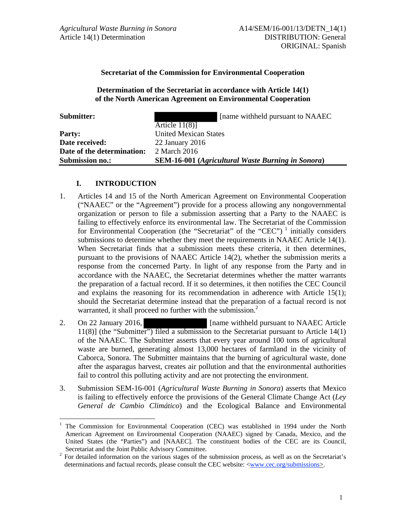## **Secretariat of the Commission for Environmental Cooperation**

### **Determination of the Secretariat in accordance with Article 14(1) of the North American Agreement on Environmental Cooperation**

 $\overline{a}$ 

**Submitter: Submitter: CO [18]** [name withheld pursuant to NAAEC

| <b>Submission no.:</b>     | <b>SEM-16-001</b> (Agricultural Waste Burning in Sonora) |
|----------------------------|----------------------------------------------------------|
| Date of the determination: | 2 March 2016                                             |
| Date received:             | $22$ January $2016$                                      |
| Party:                     | <b>United Mexican States</b>                             |
|                            | Article $11(8)$ ]                                        |

#### **I. INTRODUCTION**

- 1. Articles 14 and 15 of the North American Agreement on Environmental Cooperation ("NAAEC" or the "Agreement") provide for a process allowing any nongovernmental organization or person to file a submission asserting that a Party to the NAAEC is failing to effectively enforce its environmental law. The Secretariat of the Commission for Environmental Cooperation (the "Secretariat" of the "CEC")<sup> $1$ </sup> initially considers submissions to determine whether they meet the requirements in NAAEC Article 14(1). When Secretariat finds that a submission meets these criteria, it then determines, pursuant to the provisions of NAAEC Article 14(2), whether the submission merits a response from the concerned Party. In light of any response from the Party and in accordance with the NAAEC, the Secretariat determines whether the matter warrants the preparation of a factual record. If it so determines, it then notifies the CEC Council and explains the reasoning for its recommendation in adherence with Article 15(1); should the Secretariat determine instead that the preparation of a factual record is not warranted, it shall proceed no further with the submission.<sup>2</sup>
- 2. On 22 January 2016, **[**name withheld pursuant to NAAEC Article 11(8)] (the "Submitter") filed a submission to the Secretariat pursuant to Article 14(1) of the NAAEC. The Submitter asserts that every year around 100 tons of agricultural waste are burned, generating almost 13,000 hectares of farmland in the vicinity of Caborca, Sonora. The Submitter maintains that the burning of agricultural waste, done after the asparagus harvest, creates air pollution and that the environmental authorities fail to control this polluting activity and are not protecting the environment.
- 3. Submission SEM-16-001 (*Agricultural Waste Burning in Sonora*) asserts that Mexico is failing to effectively enforce the provisions of the General Climate Change Act (*Ley General de Cambio Climático*) and the Ecological Balance and Environmental

<sup>1</sup> The Commission for Environmental Cooperation (CEC) was established in 1994 under the North American Agreement on Environmental Cooperation (NAAEC) signed by Canada, Mexico, and the United States (the "Parties") and [NAAEC]. The constituent bodies of the CEC are its Council, Secretariat and the Joint Public Advisory Committee.<br><sup>2</sup> For detailed information on the various stages of the

For detailed information on the various stages of the submission process, as well as on the Secretariat's determinations and factual records, please consult the CEC website: <www.cec.org/submissions>.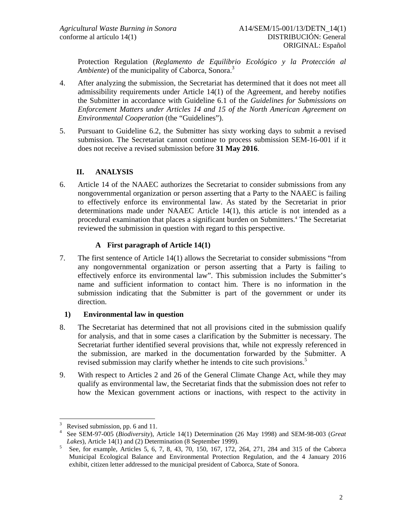Protection Regulation (*Reglamento de Equilibrio Ecológico y la Protección al Ambiente*) of the municipality of Caborca, Sonora.<sup>3</sup>

- 4. After analyzing the submission, the Secretariat has determined that it does not meet all admissibility requirements under Article 14(1) of the Agreement, and hereby notifies the Submitter in accordance with Guideline 6.1 of the *Guidelines for Submissions on Enforcement Matters under Articles 14 and 15 of the North American Agreement on Environmental Cooperation* (the "Guidelines").
- 5. Pursuant to Guideline 6.2, the Submitter has sixty working days to submit a revised submission. The Secretariat cannot continue to process submission SEM-16-001 if it does not receive a revised submission before **31 May 2016**.

# **II. ANALYSIS**

6. Article 14 of the NAAEC authorizes the Secretariat to consider submissions from any nongovernmental organization or person asserting that a Party to the NAAEC is failing to effectively enforce its environmental law. As stated by the Secretariat in prior determinations made under NAAEC Article 14(1), this article is not intended as a procedural examination that places a significant burden on Submitters.<sup>4</sup> The Secretariat reviewed the submission in question with regard to this perspective.

# **A First paragraph of Article 14(1)**

7. The first sentence of Article 14(1) allows the Secretariat to consider submissions "from any nongovernmental organization or person asserting that a Party is failing to effectively enforce its environmental law". This submission includes the Submitter's name and sufficient information to contact him. There is no information in the submission indicating that the Submitter is part of the government or under its direction.

# **1) Environmental law in question**

- 8. The Secretariat has determined that not all provisions cited in the submission qualify for analysis, and that in some cases a clarification by the Submitter is necessary. The Secretariat further identified several provisions that, while not expressly referenced in the submission, are marked in the documentation forwarded by the Submitter. A revised submission may clarify whether he intends to cite such provisions.<sup>5</sup>
- 9. With respect to Articles 2 and 26 of the General Climate Change Act, while they may qualify as environmental law, the Secretariat finds that the submission does not refer to how the Mexican government actions or inactions, with respect to the activity in

 $\overline{a}$ 3 Revised submission, pp. 6 and 11.

<sup>4</sup> See SEM-97-005 (*Biodiversity*), Article 14(1) Determination (26 May 1998) and SEM-98-003 (*Great*  Lakes), Article 14(1) and (2) Determination (8 September 1999).

 $\frac{5}{15}$  See, for example, Articles 5, 6, 7, 8, 43, 70, 150, 167, 172, 264, 271, 284 and 315 of the Caborca Municipal Ecological Balance and Environmental Protection Regulation, and the 4 January 2016 exhibit, citizen letter addressed to the municipal president of Caborca, State of Sonora.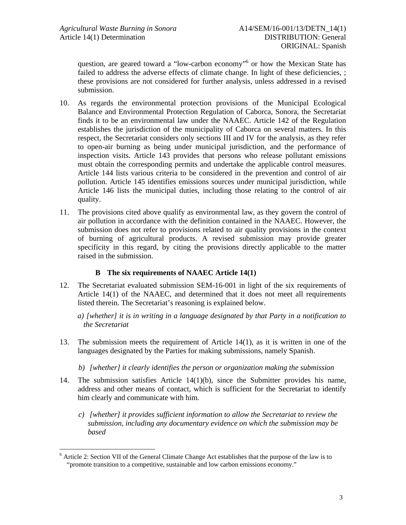question, are geared toward a "low-carbon economy"<sup>6</sup> or how the Mexican State has failed to address the adverse effects of climate change. In light of these deficiencies, ; these provisions are not considered for further analysis, unless addressed in a revised submission.

- 10. As regards the environmental protection provisions of the Municipal Ecological Balance and Environmental Protection Regulation of Caborca, Sonora, the Secretariat finds it to be an environmental law under the NAAEC. Article 142 of the Regulation establishes the jurisdiction of the municipality of Caborca on several matters. In this respect, the Secretariat considers only sections III and IV for the analysis, as they refer to open-air burning as being under municipal jurisdiction, and the performance of inspection visits. Article 143 provides that persons who release pollutant emissions must obtain the corresponding permits and undertake the applicable control measures. Article 144 lists various criteria to be considered in the prevention and control of air pollution. Article 145 identifies emissions sources under municipal jurisdiction, while Article 146 lists the municipal duties, including those relating to the control of air quality.
- 11. The provisions cited above qualify as environmental law, as they govern the control of air pollution in accordance with the definition contained in the NAAEC. However, the submission does not refer to provisions related to air quality provisions in the context of burning of agricultural products. A revised submission may provide greater specificity in this regard, by citing the provisions directly applicable to the matter raised in the submission.

## **B The six requirements of NAAEC Article 14(1)**

- 12. The Secretariat evaluated submission SEM-16-001 in light of the six requirements of Article 14(1) of the NAAEC, and determined that it does not meet all requirements listed therein. The Secretariat's reasoning is explained below.
	- *a) [whether] it is in writing in a language designated by that Party in a notification to the Secretariat*
- 13. The submission meets the requirement of Article 14(1), as it is written in one of the languages designated by the Parties for making submissions, namely Spanish.
	- *b) [whether] it clearly identifies the person or organization making the submission*
- 14. The submission satisfies Article 14(1)(b), since the Submitter provides his name, address and other means of contact, which is sufficient for the Secretariat to identify him clearly and communicate with him.
	- *c) [whether] it provides sufficient information to allow the Secretariat to review the submission, including any documentary evidence on which the submission may be based*

 $\overline{a}$ 

<sup>&</sup>lt;sup>6</sup> Article 2: Section VII of the General Climate Change Act establishes that the purpose of the law is to "promote transition to a competitive, sustainable and low carbon emissions economy."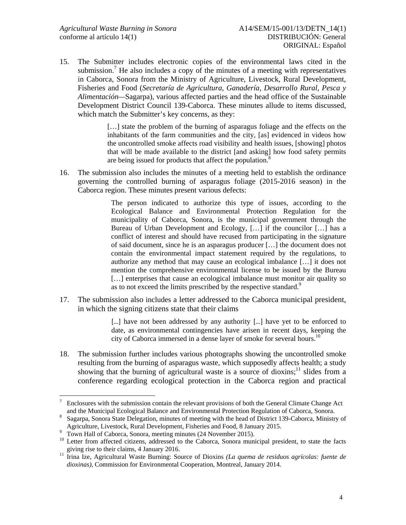15. The Submitter includes electronic copies of the environmental laws cited in the submission.<sup>7</sup> He also includes a copy of the minutes of a meeting with representatives in Caborca, Sonora from the Ministry of Agriculture, Livestock, Rural Development, Fisheries and Food (*Secretaría de Agricultura, Ganadería, Desarrollo Rural, Pesca y Alimentación—*Sagarpa), various affected parties and the head office of the Sustainable Development District Council 139-Caborca. These minutes allude to items discussed, which match the Submitter's key concerns, as they:

> [...] state the problem of the burning of asparagus foliage and the effects on the inhabitants of the farm communities and the city, [as] evidenced in videos how the uncontrolled smoke affects road visibility and health issues, [showing] photos that will be made available to the district [and asking] how food safety permits are being issued for products that affect the population.<sup>8</sup>

16. The submission also includes the minutes of a meeting held to establish the ordinance governing the controlled burning of asparagus foliage (2015-2016 season) in the Caborca region. These minutes present various defects:

> The person indicated to authorize this type of issues, according to the Ecological Balance and Environmental Protection Regulation for the municipality of Caborca, Sonora, is the municipal government through the Bureau of Urban Development and Ecology, […] if the councilor […] has a conflict of interest and should have recused from participating in the signature of said document, since he is an asparagus producer […] the document does not contain the environmental impact statement required by the regulations, to authorize any method that may cause an ecological imbalance […] it does not mention the comprehensive environmental license to be issued by the Bureau [...] enterprises that cause an ecological imbalance must monitor air quality so as to not exceed the limits prescribed by the respective standard.<sup>9</sup>

17. The submission also includes a letter addressed to the Caborca municipal president, in which the signing citizens state that their claims

> [...] have not been addressed by any authority [...] have yet to be enforced to date, as environmental contingencies have arisen in recent days, keeping the city of Caborca immersed in a dense layer of smoke for several hours.<sup>10</sup>

18. The submission further includes various photographs showing the uncontrolled smoke resulting from the burning of asparagus waste, which supposedly affects health; a study showing that the burning of agricultural waste is a source of dioxins;<sup>11</sup> slides from a conference regarding ecological protection in the Caborca region and practical

<sup>-&</sup>lt;br>7 Enclosures with the submission contain the relevant provisions of both the General Climate Change Act and the Municipal Ecological Balance and Environmental Protection Regulation of Caborca, Sonora. 8

Sagarpa, Sonora State Delegation, minutes of meeting with the head of District 139-Caborca, Ministry of Agriculture, Livestock, Rural Development, Fisheries and Food, 8 January 2015.

<sup>&</sup>lt;sup>9</sup> Town Hall of Caborca, Sonora, meeting minutes (24 November 2015).<br><sup>10</sup> Letter from affected citizens, addressed to the Caborca. Sonora muni

Letter from affected citizens, addressed to the Caborca, Sonora municipal president, to state the facts giving rise to their claims, 4 January 2016.

<sup>&</sup>lt;sup>11</sup> Irina Ize, Agricultural Waste Burning: Source of Dioxins *(La quema de residuos agrícolas: fuente de dioxinas)*, Commission for Environmental Cooperation, Montreal, January 2014.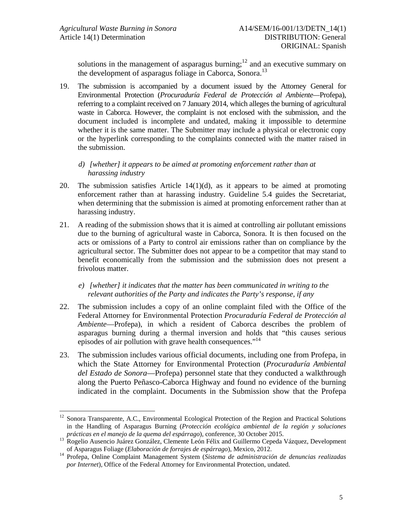1

solutions in the management of asparagus burning;<sup>12</sup> and an executive summary on the development of asparagus foliage in Caborca, Sonora.<sup>13</sup>

- 19. The submission is accompanied by a document issued by the Attorney General for Environmental Protection (*Procuraduría Federal de Protección al Ambiente—*Profepa), referring to a complaint received on 7 January 2014, which alleges the burning of agricultural waste in Caborca. However, the complaint is not enclosed with the submission, and the document included is incomplete and undated, making it impossible to determine whether it is the same matter. The Submitter may include a physical or electronic copy or the hyperlink corresponding to the complaints connected with the matter raised in the submission.
	- *d) [whether] it appears to be aimed at promoting enforcement rather than at harassing industry*
- 20. The submission satisfies Article 14(1)(d), as it appears to be aimed at promoting enforcement rather than at harassing industry. Guideline 5.4 guides the Secretariat, when determining that the submission is aimed at promoting enforcement rather than at harassing industry.
- 21. A reading of the submission shows that it is aimed at controlling air pollutant emissions due to the burning of agricultural waste in Caborca, Sonora. It is then focused on the acts or omissions of a Party to control air emissions rather than on compliance by the agricultural sector. The Submitter does not appear to be a competitor that may stand to benefit economically from the submission and the submission does not present a frivolous matter.
	- *e) [whether] it indicates that the matter has been communicated in writing to the relevant authorities of the Party and indicates the Party's response, if any*
- 22. The submission includes a copy of an online complaint filed with the Office of the Federal Attorney for Environmental Protection *Procuraduría Federal de Protección al Ambiente*—Profepa), in which a resident of Caborca describes the problem of asparagus burning during a thermal inversion and holds that "this causes serious episodes of air pollution with grave health consequences."<sup>14</sup>
- 23. The submission includes various official documents, including one from Profepa, in which the State Attorney for Environmental Protection (*Procuraduría Ambiental del Estado de Sonora*—Profepa) personnel state that they conducted a walkthrough along the Puerto Peñasco-Caborca Highway and found no evidence of the burning indicated in the complaint. Documents in the Submission show that the Profepa

<sup>12</sup> Sonora Transparente, A.C., Environmental Ecological Protection of the Region and Practical Solutions in the Handling of Asparagus Burning (*Protección ecológica ambiental de la región y soluciones* 

*prácticas en el manejo de la quema del espárrago*), como *al conference 2015.*<br>13 Rogelio Ausencio Juárez González, Clemente León Félix and Guillermo Cepeda Vázquez, Development<br>13 Rogelio Ausencio Juárez González, Clemen

of Asparagus Foliage (*Elaboración de forrajes de espárrago*), Mexico, 2012. 14 Profepa, Online Complaint Management System (*Sistema de administración de denuncias realizadas por Internet*), Office of the Federal Attorney for Environmental Protection, undated.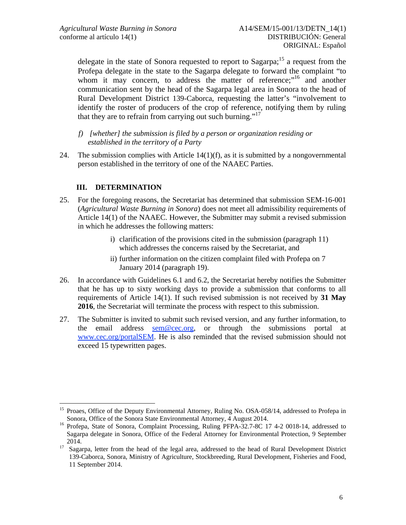delegate in the state of Sonora requested to report to Sagarpa;<sup>15</sup> a request from the Profepa delegate in the state to the Sagarpa delegate to forward the complaint "to whom it may concern, to address the matter of reference;"<sup>16</sup> and another communication sent by the head of the Sagarpa legal area in Sonora to the head of Rural Development District 139-Caborca, requesting the latter's "involvement to identify the roster of producers of the crop of reference, notifying them by ruling that they are to refrain from carrying out such burning."<sup>17</sup>

- *f) [whether] the submission is filed by a person or organization residing or established in the territory of a Party*
- 24. The submission complies with Article  $14(1)(f)$ , as it is submitted by a nongovernmental person established in the territory of one of the NAAEC Parties.

# **III. DETERMINATION**

 $\overline{a}$ 

- 25. For the foregoing reasons, the Secretariat has determined that submission SEM-16-001 (*Agricultural Waste Burning in Sonora*) does not meet all admissibility requirements of Article 14(1) of the NAAEC. However, the Submitter may submit a revised submission in which he addresses the following matters:
	- i) clarification of the provisions cited in the submission (paragraph 11) which addresses the concerns raised by the Secretariat, and
	- ii) further information on the citizen complaint filed with Profepa on 7 January 2014 (paragraph 19).
- 26. In accordance with Guidelines 6.1 and 6.2, the Secretariat hereby notifies the Submitter that he has up to sixty working days to provide a submission that conforms to all requirements of Article 14(1). If such revised submission is not received by **31 May 2016**, the Secretariat will terminate the process with respect to this submission.
- 27. The Submitter is invited to submit such revised version, and any further information, to the email address sem@cec.org, or through the submissions portal at www.cec.org/portalSEM. He is also reminded that the revised submission should not exceed 15 typewritten pages.

<sup>&</sup>lt;sup>15</sup> Proaes, Office of the Deputy Environmental Attorney, Ruling No. OSA-058/14, addressed to Profepa in

Sonora, Office of the Sonora State Environmental Attorney, 4 August 2014.<br><sup>16</sup> Profepa, State of Sonora, Complaint Processing, Ruling PFPA-32.7-8C 17 4-2 0018-14, addressed to Sagarpa delegate in Sonora, Office of the Federal Attorney for Environmental Protection, 9 September 2014.<br><sup>17</sup> Sagarpa, letter from the head of the legal area, addressed to the head of Rural Development District

<sup>139-</sup>Caborca, Sonora, Ministry of Agriculture, Stockbreeding, Rural Development, Fisheries and Food, 11 September 2014.